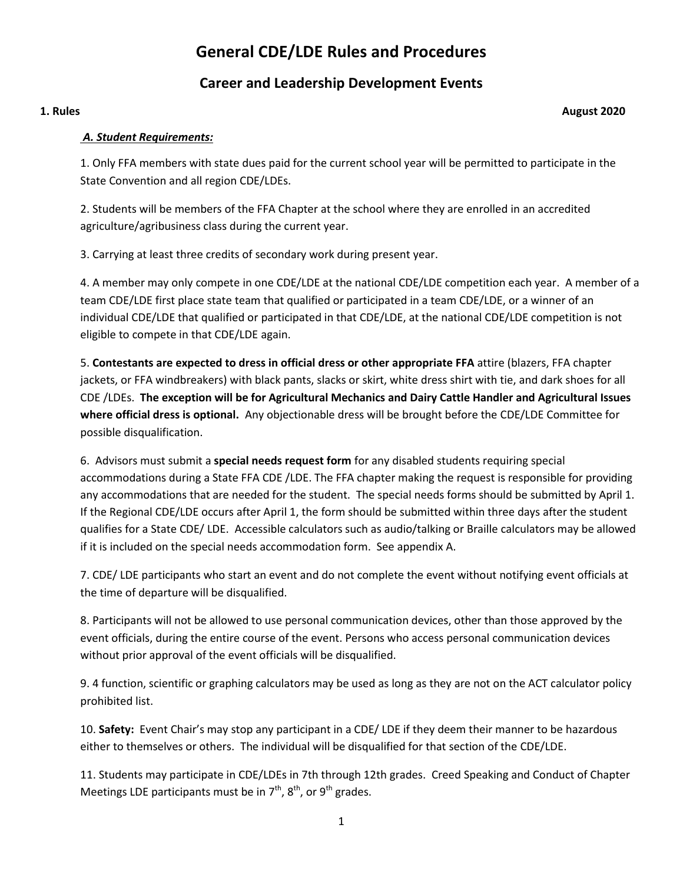# **General CDE/LDE Rules and Procedures**

## **Career and Leadership Development Events**

#### **1. Rules August 2020**

#### *A. Student Requirements:*

1. Only FFA members with state dues paid for the current school year will be permitted to participate in the State Convention and all region CDE/LDEs.

2. Students will be members of the FFA Chapter at the school where they are enrolled in an accredited agriculture/agribusiness class during the current year.

3. Carrying at least three credits of secondary work during present year.

4. A member may only compete in one CDE/LDE at the national CDE/LDE competition each year. A member of a team CDE/LDE first place state team that qualified or participated in a team CDE/LDE, or a winner of an individual CDE/LDE that qualified or participated in that CDE/LDE, at the national CDE/LDE competition is not eligible to compete in that CDE/LDE again.

5. **Contestants are expected to dress in official dress or other appropriate FFA** attire (blazers, FFA chapter jackets, or FFA windbreakers) with black pants, slacks or skirt, white dress shirt with tie, and dark shoes for all CDE /LDEs. **The exception will be for Agricultural Mechanics and Dairy Cattle Handler and Agricultural Issues where official dress is optional.** Any objectionable dress will be brought before the CDE/LDE Committee for possible disqualification.

6. Advisors must submit a **special needs request form** for any disabled students requiring special accommodations during a State FFA CDE /LDE. The FFA chapter making the request is responsible for providing any accommodations that are needed for the student. The special needs forms should be submitted by April 1. If the Regional CDE/LDE occurs after April 1, the form should be submitted within three days after the student qualifies for a State CDE/ LDE. Accessible calculators such as audio/talking or Braille calculators may be allowed if it is included on the special needs accommodation form. See appendix A.

7. CDE/ LDE participants who start an event and do not complete the event without notifying event officials at the time of departure will be disqualified.

8. Participants will not be allowed to use personal communication devices, other than those approved by the event officials, during the entire course of the event. Persons who access personal communication devices without prior approval of the event officials will be disqualified.

9. 4 function, scientific or graphing calculators may be used as long as they are not on the ACT calculator policy prohibited list.

10. **Safety:** Event Chair's may stop any participant in a CDE/ LDE if they deem their manner to be hazardous either to themselves or others. The individual will be disqualified for that section of the CDE/LDE.

11. Students may participate in CDE/LDEs in 7th through 12th grades. Creed Speaking and Conduct of Chapter Meetings LDE participants must be in  $7<sup>th</sup>$ ,  $8<sup>th</sup>$ , or  $9<sup>th</sup>$  grades.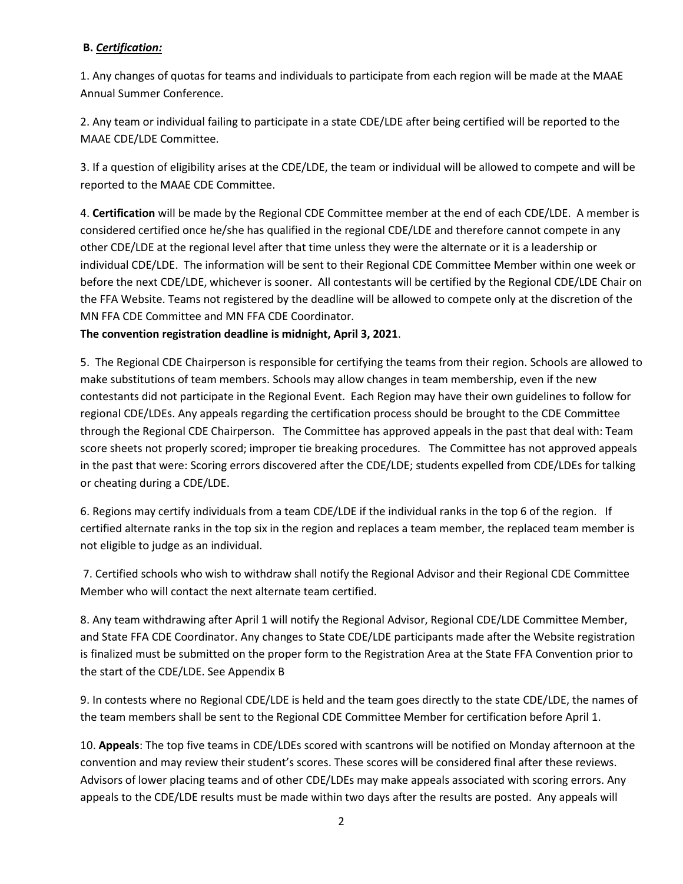#### **B.** *Certification:*

1. Any changes of quotas for teams and individuals to participate from each region will be made at the MAAE Annual Summer Conference.

2. Any team or individual failing to participate in a state CDE/LDE after being certified will be reported to the MAAE CDE/LDE Committee.

3. If a question of eligibility arises at the CDE/LDE, the team or individual will be allowed to compete and will be reported to the MAAE CDE Committee.

4. **Certification** will be made by the Regional CDE Committee member at the end of each CDE/LDE. A member is considered certified once he/she has qualified in the regional CDE/LDE and therefore cannot compete in any other CDE/LDE at the regional level after that time unless they were the alternate or it is a leadership or individual CDE/LDE. The information will be sent to their Regional CDE Committee Member within one week or before the next CDE/LDE, whichever is sooner. All contestants will be certified by the Regional CDE/LDE Chair on the FFA Website. Teams not registered by the deadline will be allowed to compete only at the discretion of the MN FFA CDE Committee and MN FFA CDE Coordinator.

#### **The convention registration deadline is midnight, April 3, 2021**.

5. The Regional CDE Chairperson is responsible for certifying the teams from their region. Schools are allowed to make substitutions of team members. Schools may allow changes in team membership, even if the new contestants did not participate in the Regional Event. Each Region may have their own guidelines to follow for regional CDE/LDEs. Any appeals regarding the certification process should be brought to the CDE Committee through the Regional CDE Chairperson. The Committee has approved appeals in the past that deal with: Team score sheets not properly scored; improper tie breaking procedures. The Committee has not approved appeals in the past that were: Scoring errors discovered after the CDE/LDE; students expelled from CDE/LDEs for talking or cheating during a CDE/LDE.

6. Regions may certify individuals from a team CDE/LDE if the individual ranks in the top 6 of the region. If certified alternate ranks in the top six in the region and replaces a team member, the replaced team member is not eligible to judge as an individual.

7. Certified schools who wish to withdraw shall notify the Regional Advisor and their Regional CDE Committee Member who will contact the next alternate team certified.

8. Any team withdrawing after April 1 will notify the Regional Advisor, Regional CDE/LDE Committee Member, and State FFA CDE Coordinator. Any changes to State CDE/LDE participants made after the Website registration is finalized must be submitted on the proper form to the Registration Area at the State FFA Convention prior to the start of the CDE/LDE. See Appendix B

9. In contests where no Regional CDE/LDE is held and the team goes directly to the state CDE/LDE, the names of the team members shall be sent to the Regional CDE Committee Member for certification before April 1.

10. **Appeals**: The top five teams in CDE/LDEs scored with scantrons will be notified on Monday afternoon at the convention and may review their student's scores. These scores will be considered final after these reviews. Advisors of lower placing teams and of other CDE/LDEs may make appeals associated with scoring errors. Any appeals to the CDE/LDE results must be made within two days after the results are posted. Any appeals will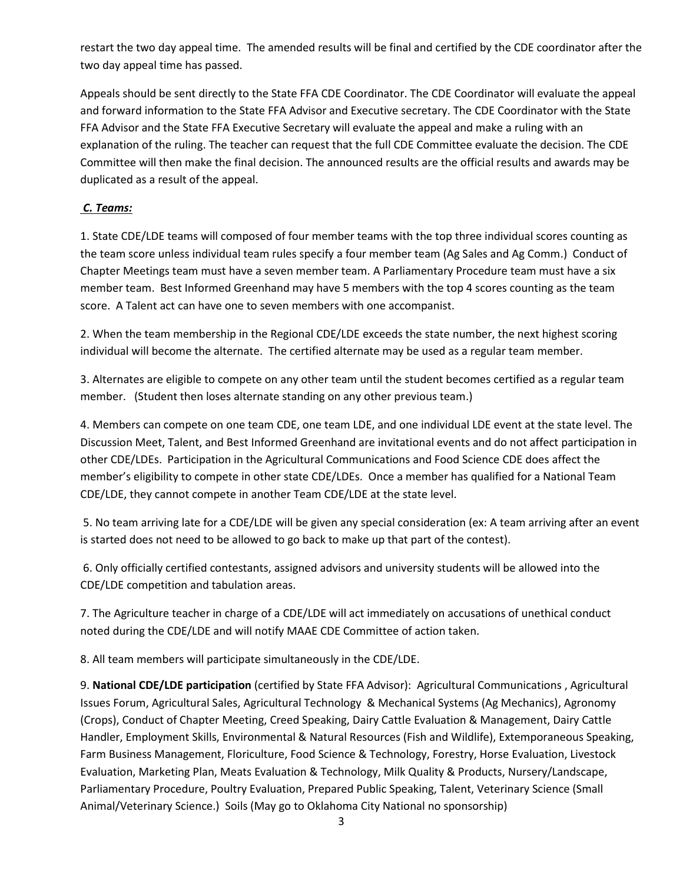restart the two day appeal time. The amended results will be final and certified by the CDE coordinator after the two day appeal time has passed.

Appeals should be sent directly to the State FFA CDE Coordinator. The CDE Coordinator will evaluate the appeal and forward information to the State FFA Advisor and Executive secretary. The CDE Coordinator with the State FFA Advisor and the State FFA Executive Secretary will evaluate the appeal and make a ruling with an explanation of the ruling. The teacher can request that the full CDE Committee evaluate the decision. The CDE Committee will then make the final decision. The announced results are the official results and awards may be duplicated as a result of the appeal.

#### *C. Teams:*

1. State CDE/LDE teams will composed of four member teams with the top three individual scores counting as the team score unless individual team rules specify a four member team (Ag Sales and Ag Comm.) Conduct of Chapter Meetings team must have a seven member team. A Parliamentary Procedure team must have a six member team. Best Informed Greenhand may have 5 members with the top 4 scores counting as the team score. A Talent act can have one to seven members with one accompanist.

2. When the team membership in the Regional CDE/LDE exceeds the state number, the next highest scoring individual will become the alternate. The certified alternate may be used as a regular team member.

3. Alternates are eligible to compete on any other team until the student becomes certified as a regular team member. (Student then loses alternate standing on any other previous team.)

4. Members can compete on one team CDE, one team LDE, and one individual LDE event at the state level. The Discussion Meet, Talent, and Best Informed Greenhand are invitational events and do not affect participation in other CDE/LDEs. Participation in the Agricultural Communications and Food Science CDE does affect the member's eligibility to compete in other state CDE/LDEs. Once a member has qualified for a National Team CDE/LDE, they cannot compete in another Team CDE/LDE at the state level.

5. No team arriving late for a CDE/LDE will be given any special consideration (ex: A team arriving after an event is started does not need to be allowed to go back to make up that part of the contest).

6. Only officially certified contestants, assigned advisors and university students will be allowed into the CDE/LDE competition and tabulation areas.

7. The Agriculture teacher in charge of a CDE/LDE will act immediately on accusations of unethical conduct noted during the CDE/LDE and will notify MAAE CDE Committee of action taken.

8. All team members will participate simultaneously in the CDE/LDE.

9. **National CDE/LDE participation** (certified by State FFA Advisor): Agricultural Communications , Agricultural Issues Forum, Agricultural Sales, Agricultural Technology & Mechanical Systems (Ag Mechanics), Agronomy (Crops), Conduct of Chapter Meeting, Creed Speaking, Dairy Cattle Evaluation & Management, Dairy Cattle Handler, Employment Skills, Environmental & Natural Resources (Fish and Wildlife), Extemporaneous Speaking, Farm Business Management, Floriculture, Food Science & Technology, Forestry, Horse Evaluation, Livestock Evaluation, Marketing Plan, Meats Evaluation & Technology, Milk Quality & Products, Nursery/Landscape, Parliamentary Procedure, Poultry Evaluation, Prepared Public Speaking, Talent, Veterinary Science (Small Animal/Veterinary Science.) Soils (May go to Oklahoma City National no sponsorship)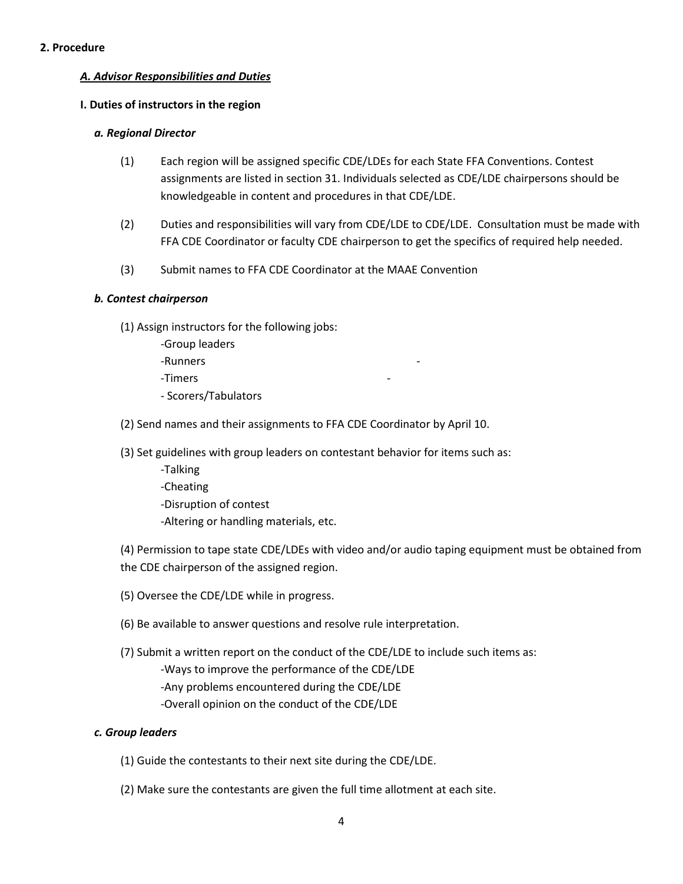#### **2. Procedure**

#### *A. Advisor Responsibilities and Duties*

#### **I. Duties of instructors in the region**

#### *a. Regional Director*

- (1) Each region will be assigned specific CDE/LDEs for each State FFA Conventions. Contest assignments are listed in section 31. Individuals selected as CDE/LDE chairpersons should be knowledgeable in content and procedures in that CDE/LDE.
- (2) Duties and responsibilities will vary from CDE/LDE to CDE/LDE. Consultation must be made with FFA CDE Coordinator or faculty CDE chairperson to get the specifics of required help needed.
- (3) Submit names to FFA CDE Coordinator at the MAAE Convention

#### *b. Contest chairperson*

- (1) Assign instructors for the following jobs:
	- -Group leaders
	- -Runners -
	- -Timers -
	- Scorers/Tabulators
- (2) Send names and their assignments to FFA CDE Coordinator by April 10.
- (3) Set guidelines with group leaders on contestant behavior for items such as:
	- -Talking -Cheating -Disruption of contest -Altering or handling materials, etc.

(4) Permission to tape state CDE/LDEs with video and/or audio taping equipment must be obtained from the CDE chairperson of the assigned region.

- (5) Oversee the CDE/LDE while in progress.
- (6) Be available to answer questions and resolve rule interpretation.
- (7) Submit a written report on the conduct of the CDE/LDE to include such items as: -Ways to improve the performance of the CDE/LDE -Any problems encountered during the CDE/LDE -Overall opinion on the conduct of the CDE/LDE

#### *c. Group leaders*

- (1) Guide the contestants to their next site during the CDE/LDE.
- (2) Make sure the contestants are given the full time allotment at each site.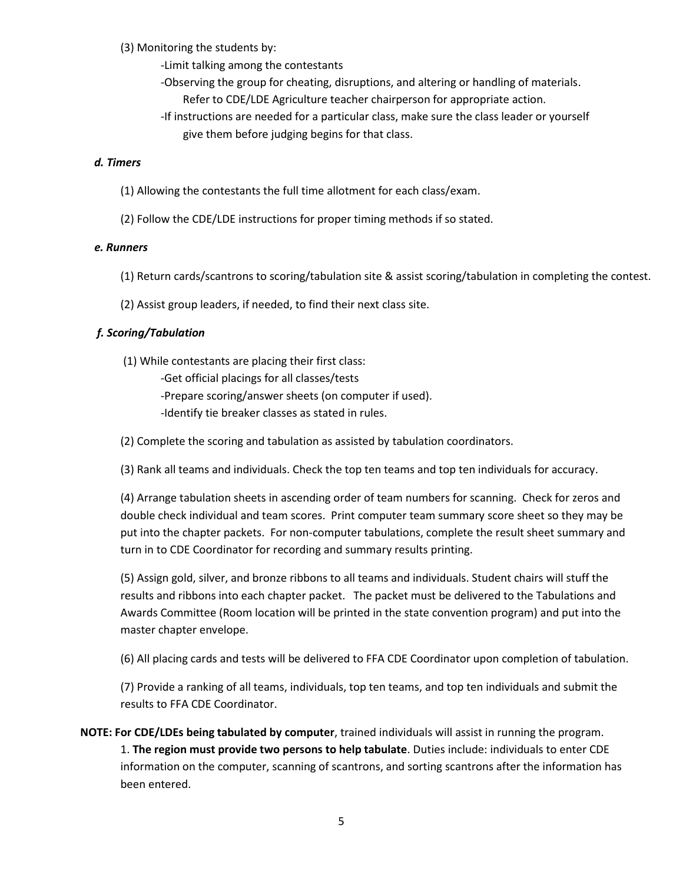(3) Monitoring the students by:

- -Limit talking among the contestants
- -Observing the group for cheating, disruptions, and altering or handling of materials.
	- Refer to CDE/LDE Agriculture teacher chairperson for appropriate action.
- -If instructions are needed for a particular class, make sure the class leader or yourself give them before judging begins for that class.

#### *d. Timers*

- (1) Allowing the contestants the full time allotment for each class/exam.
- (2) Follow the CDE/LDE instructions for proper timing methods if so stated.

#### *e. Runners*

- (1) Return cards/scantrons to scoring/tabulation site & assist scoring/tabulation in completing the contest.
- (2) Assist group leaders, if needed, to find their next class site.

#### *f. Scoring/Tabulation*

- (1) While contestants are placing their first class:
	- -Get official placings for all classes/tests
	- -Prepare scoring/answer sheets (on computer if used).
	- -Identify tie breaker classes as stated in rules.
- (2) Complete the scoring and tabulation as assisted by tabulation coordinators.
- (3) Rank all teams and individuals. Check the top ten teams and top ten individuals for accuracy.

(4) Arrange tabulation sheets in ascending order of team numbers for scanning. Check for zeros and double check individual and team scores. Print computer team summary score sheet so they may be put into the chapter packets. For non-computer tabulations, complete the result sheet summary and turn in to CDE Coordinator for recording and summary results printing.

 (5) Assign gold, silver, and bronze ribbons to all teams and individuals. Student chairs will stuff the results and ribbons into each chapter packet. The packet must be delivered to the Tabulations and Awards Committee (Room location will be printed in the state convention program) and put into the master chapter envelope.

(6) All placing cards and tests will be delivered to FFA CDE Coordinator upon completion of tabulation.

 (7) Provide a ranking of all teams, individuals, top ten teams, and top ten individuals and submit the results to FFA CDE Coordinator.

**NOTE: For CDE/LDEs being tabulated by computer**, trained individuals will assist in running the program. 1. **The region must provide two persons to help tabulate**. Duties include: individuals to enter CDE information on the computer, scanning of scantrons, and sorting scantrons after the information has been entered.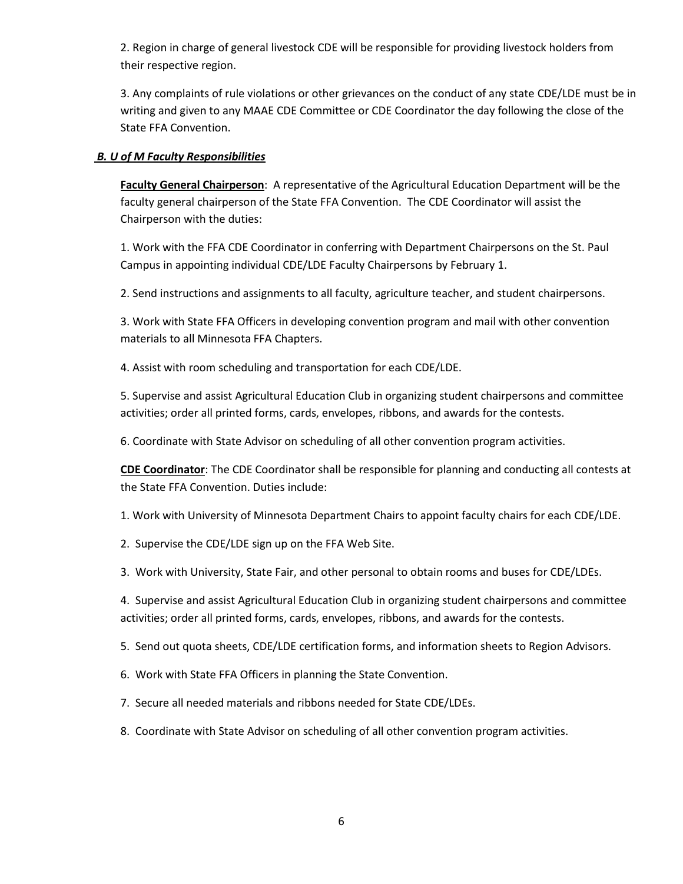2. Region in charge of general livestock CDE will be responsible for providing livestock holders from their respective region.

3. Any complaints of rule violations or other grievances on the conduct of any state CDE/LDE must be in writing and given to any MAAE CDE Committee or CDE Coordinator the day following the close of the State FFA Convention.

#### *B. U of M Faculty Responsibilities*

**Faculty General Chairperson**: A representative of the Agricultural Education Department will be the faculty general chairperson of the State FFA Convention. The CDE Coordinator will assist the Chairperson with the duties:

1. Work with the FFA CDE Coordinator in conferring with Department Chairpersons on the St. Paul Campus in appointing individual CDE/LDE Faculty Chairpersons by February 1.

2. Send instructions and assignments to all faculty, agriculture teacher, and student chairpersons.

3. Work with State FFA Officers in developing convention program and mail with other convention materials to all Minnesota FFA Chapters.

4. Assist with room scheduling and transportation for each CDE/LDE.

5. Supervise and assist Agricultural Education Club in organizing student chairpersons and committee activities; order all printed forms, cards, envelopes, ribbons, and awards for the contests.

6. Coordinate with State Advisor on scheduling of all other convention program activities.

**CDE Coordinator**: The CDE Coordinator shall be responsible for planning and conducting all contests at the State FFA Convention. Duties include:

1. Work with University of Minnesota Department Chairs to appoint faculty chairs for each CDE/LDE.

- 2. Supervise the CDE/LDE sign up on the FFA Web Site.
- 3. Work with University, State Fair, and other personal to obtain rooms and buses for CDE/LDEs.

4. Supervise and assist Agricultural Education Club in organizing student chairpersons and committee activities; order all printed forms, cards, envelopes, ribbons, and awards for the contests.

5. Send out quota sheets, CDE/LDE certification forms, and information sheets to Region Advisors.

- 6. Work with State FFA Officers in planning the State Convention.
- 7. Secure all needed materials and ribbons needed for State CDE/LDEs.
- 8. Coordinate with State Advisor on scheduling of all other convention program activities.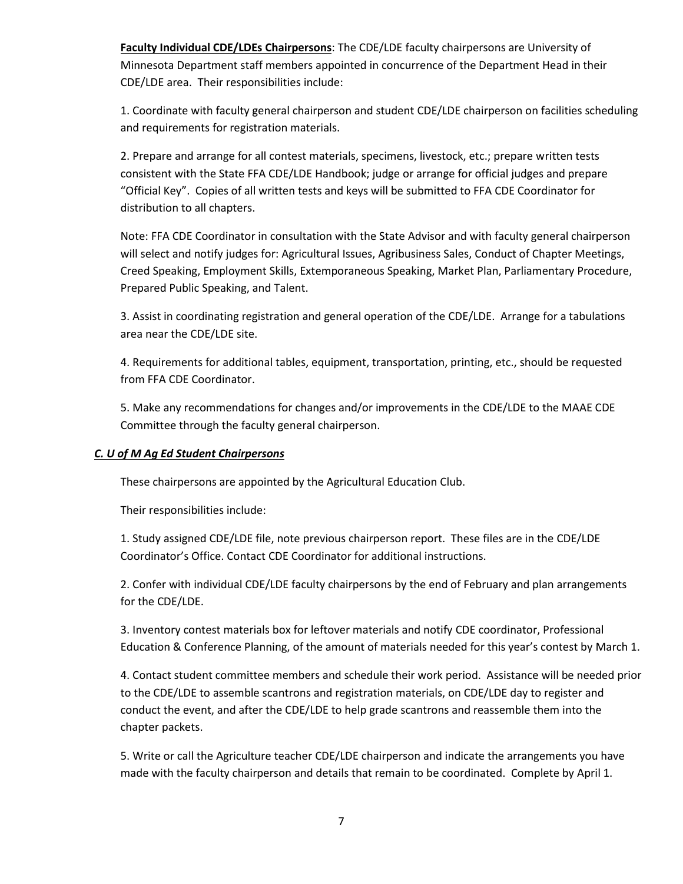**Faculty Individual CDE/LDEs Chairpersons**: The CDE/LDE faculty chairpersons are University of Minnesota Department staff members appointed in concurrence of the Department Head in their CDE/LDE area. Their responsibilities include:

1. Coordinate with faculty general chairperson and student CDE/LDE chairperson on facilities scheduling and requirements for registration materials.

2. Prepare and arrange for all contest materials, specimens, livestock, etc.; prepare written tests consistent with the State FFA CDE/LDE Handbook; judge or arrange for official judges and prepare "Official Key". Copies of all written tests and keys will be submitted to FFA CDE Coordinator for distribution to all chapters.

Note: FFA CDE Coordinator in consultation with the State Advisor and with faculty general chairperson will select and notify judges for: Agricultural Issues, Agribusiness Sales, Conduct of Chapter Meetings, Creed Speaking, Employment Skills, Extemporaneous Speaking, Market Plan, Parliamentary Procedure, Prepared Public Speaking, and Talent.

3. Assist in coordinating registration and general operation of the CDE/LDE. Arrange for a tabulations area near the CDE/LDE site.

4. Requirements for additional tables, equipment, transportation, printing, etc., should be requested from FFA CDE Coordinator.

5. Make any recommendations for changes and/or improvements in the CDE/LDE to the MAAE CDE Committee through the faculty general chairperson.

#### *C. U of M Ag Ed Student Chairpersons*

These chairpersons are appointed by the Agricultural Education Club.

Their responsibilities include:

1. Study assigned CDE/LDE file, note previous chairperson report. These files are in the CDE/LDE Coordinator's Office. Contact CDE Coordinator for additional instructions.

2. Confer with individual CDE/LDE faculty chairpersons by the end of February and plan arrangements for the CDE/LDE.

3. Inventory contest materials box for leftover materials and notify CDE coordinator, Professional Education & Conference Planning, of the amount of materials needed for this year's contest by March 1.

4. Contact student committee members and schedule their work period. Assistance will be needed prior to the CDE/LDE to assemble scantrons and registration materials, on CDE/LDE day to register and conduct the event, and after the CDE/LDE to help grade scantrons and reassemble them into the chapter packets.

5. Write or call the Agriculture teacher CDE/LDE chairperson and indicate the arrangements you have made with the faculty chairperson and details that remain to be coordinated. Complete by April 1.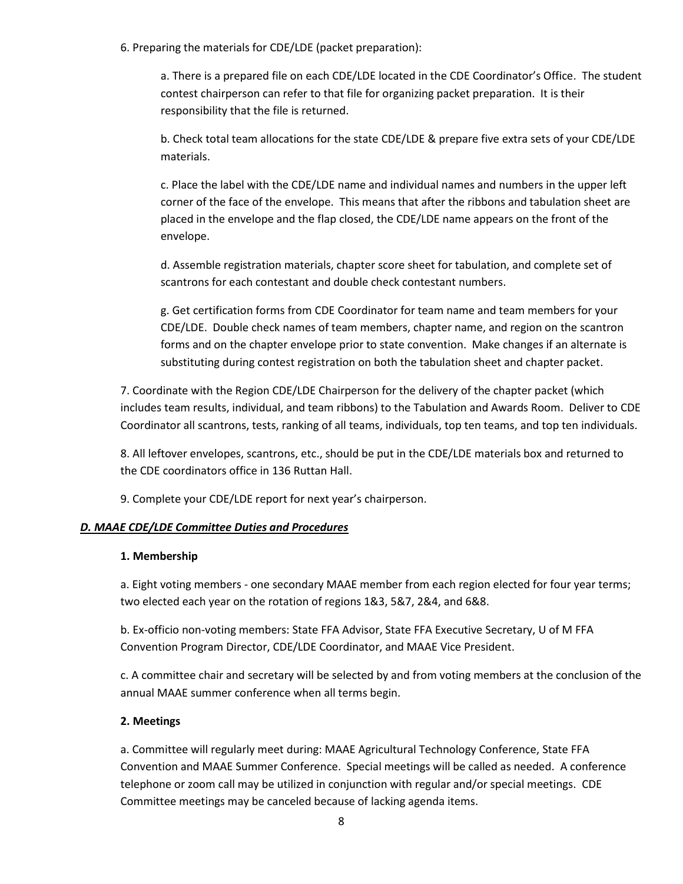6. Preparing the materials for CDE/LDE (packet preparation):

a. There is a prepared file on each CDE/LDE located in the CDE Coordinator's Office. The student contest chairperson can refer to that file for organizing packet preparation. It is their responsibility that the file is returned.

b. Check total team allocations for the state CDE/LDE & prepare five extra sets of your CDE/LDE materials.

c. Place the label with the CDE/LDE name and individual names and numbers in the upper left corner of the face of the envelope. This means that after the ribbons and tabulation sheet are placed in the envelope and the flap closed, the CDE/LDE name appears on the front of the envelope.

d. Assemble registration materials, chapter score sheet for tabulation, and complete set of scantrons for each contestant and double check contestant numbers.

g. Get certification forms from CDE Coordinator for team name and team members for your CDE/LDE. Double check names of team members, chapter name, and region on the scantron forms and on the chapter envelope prior to state convention. Make changes if an alternate is substituting during contest registration on both the tabulation sheet and chapter packet.

7. Coordinate with the Region CDE/LDE Chairperson for the delivery of the chapter packet (which includes team results, individual, and team ribbons) to the Tabulation and Awards Room. Deliver to CDE Coordinator all scantrons, tests, ranking of all teams, individuals, top ten teams, and top ten individuals.

8. All leftover envelopes, scantrons, etc., should be put in the CDE/LDE materials box and returned to the CDE coordinators office in 136 Ruttan Hall.

9. Complete your CDE/LDE report for next year's chairperson.

#### *D. MAAE CDE/LDE Committee Duties and Procedures*

#### **1. Membership**

a. Eight voting members - one secondary MAAE member from each region elected for four year terms; two elected each year on the rotation of regions 1&3, 5&7, 2&4, and 6&8.

b. Ex-officio non-voting members: State FFA Advisor, State FFA Executive Secretary, U of M FFA Convention Program Director, CDE/LDE Coordinator, and MAAE Vice President.

c. A committee chair and secretary will be selected by and from voting members at the conclusion of the annual MAAE summer conference when all terms begin.

#### **2. Meetings**

a. Committee will regularly meet during: MAAE Agricultural Technology Conference, State FFA Convention and MAAE Summer Conference. Special meetings will be called as needed. A conference telephone or zoom call may be utilized in conjunction with regular and/or special meetings. CDE Committee meetings may be canceled because of lacking agenda items.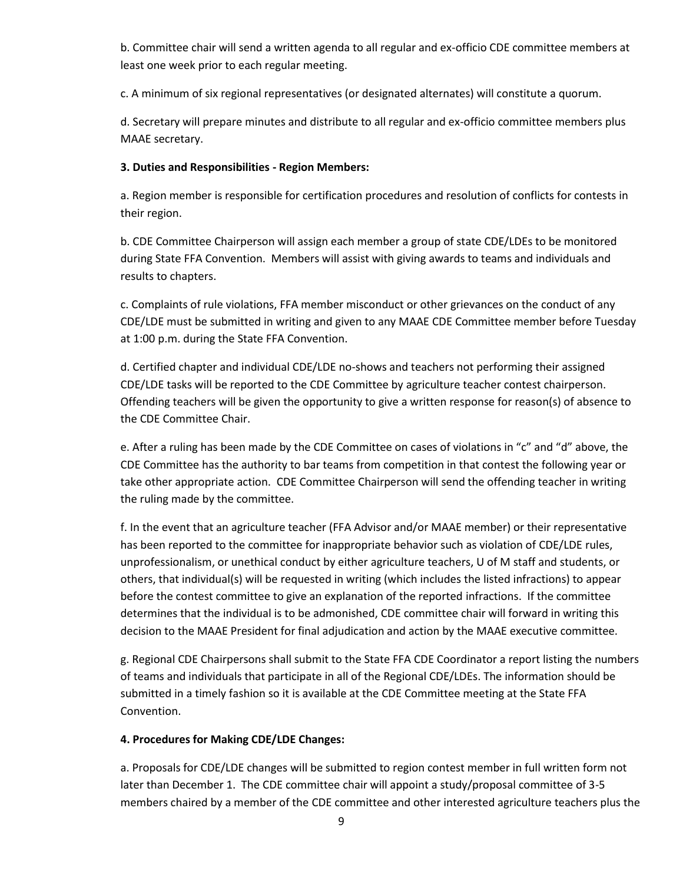b. Committee chair will send a written agenda to all regular and ex-officio CDE committee members at least one week prior to each regular meeting.

c. A minimum of six regional representatives (or designated alternates) will constitute a quorum.

d. Secretary will prepare minutes and distribute to all regular and ex-officio committee members plus MAAE secretary.

#### **3. Duties and Responsibilities - Region Members:**

a. Region member is responsible for certification procedures and resolution of conflicts for contests in their region.

b. CDE Committee Chairperson will assign each member a group of state CDE/LDEs to be monitored during State FFA Convention. Members will assist with giving awards to teams and individuals and results to chapters.

c. Complaints of rule violations, FFA member misconduct or other grievances on the conduct of any CDE/LDE must be submitted in writing and given to any MAAE CDE Committee member before Tuesday at 1:00 p.m. during the State FFA Convention.

d. Certified chapter and individual CDE/LDE no-shows and teachers not performing their assigned CDE/LDE tasks will be reported to the CDE Committee by agriculture teacher contest chairperson. Offending teachers will be given the opportunity to give a written response for reason(s) of absence to the CDE Committee Chair.

e. After a ruling has been made by the CDE Committee on cases of violations in "c" and "d" above, the CDE Committee has the authority to bar teams from competition in that contest the following year or take other appropriate action. CDE Committee Chairperson will send the offending teacher in writing the ruling made by the committee.

f. In the event that an agriculture teacher (FFA Advisor and/or MAAE member) or their representative has been reported to the committee for inappropriate behavior such as violation of CDE/LDE rules, unprofessionalism, or unethical conduct by either agriculture teachers, U of M staff and students, or others, that individual(s) will be requested in writing (which includes the listed infractions) to appear before the contest committee to give an explanation of the reported infractions. If the committee determines that the individual is to be admonished, CDE committee chair will forward in writing this decision to the MAAE President for final adjudication and action by the MAAE executive committee.

g. Regional CDE Chairpersons shall submit to the State FFA CDE Coordinator a report listing the numbers of teams and individuals that participate in all of the Regional CDE/LDEs. The information should be submitted in a timely fashion so it is available at the CDE Committee meeting at the State FFA Convention.

#### **4. Procedures for Making CDE/LDE Changes:**

a. Proposals for CDE/LDE changes will be submitted to region contest member in full written form not later than December 1. The CDE committee chair will appoint a study/proposal committee of 3-5 members chaired by a member of the CDE committee and other interested agriculture teachers plus the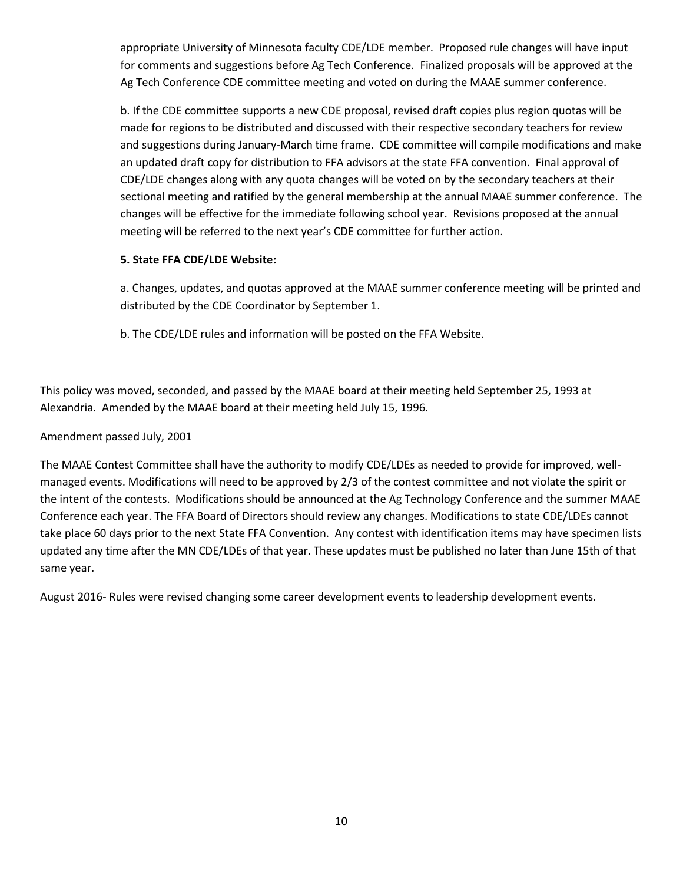appropriate University of Minnesota faculty CDE/LDE member. Proposed rule changes will have input for comments and suggestions before Ag Tech Conference. Finalized proposals will be approved at the Ag Tech Conference CDE committee meeting and voted on during the MAAE summer conference.

b. If the CDE committee supports a new CDE proposal, revised draft copies plus region quotas will be made for regions to be distributed and discussed with their respective secondary teachers for review and suggestions during January-March time frame. CDE committee will compile modifications and make an updated draft copy for distribution to FFA advisors at the state FFA convention. Final approval of CDE/LDE changes along with any quota changes will be voted on by the secondary teachers at their sectional meeting and ratified by the general membership at the annual MAAE summer conference. The changes will be effective for the immediate following school year. Revisions proposed at the annual meeting will be referred to the next year's CDE committee for further action.

#### **5. State FFA CDE/LDE Website:**

a. Changes, updates, and quotas approved at the MAAE summer conference meeting will be printed and distributed by the CDE Coordinator by September 1.

b. The CDE/LDE rules and information will be posted on the FFA Website.

This policy was moved, seconded, and passed by the MAAE board at their meeting held September 25, 1993 at Alexandria. Amended by the MAAE board at their meeting held July 15, 1996.

Amendment passed July, 2001

The MAAE Contest Committee shall have the authority to modify CDE/LDEs as needed to provide for improved, wellmanaged events. Modifications will need to be approved by 2/3 of the contest committee and not violate the spirit or the intent of the contests. Modifications should be announced at the Ag Technology Conference and the summer MAAE Conference each year. The FFA Board of Directors should review any changes. Modifications to state CDE/LDEs cannot take place 60 days prior to the next State FFA Convention. Any contest with identification items may have specimen lists updated any time after the MN CDE/LDEs of that year. These updates must be published no later than June 15th of that same year.

August 2016- Rules were revised changing some career development events to leadership development events.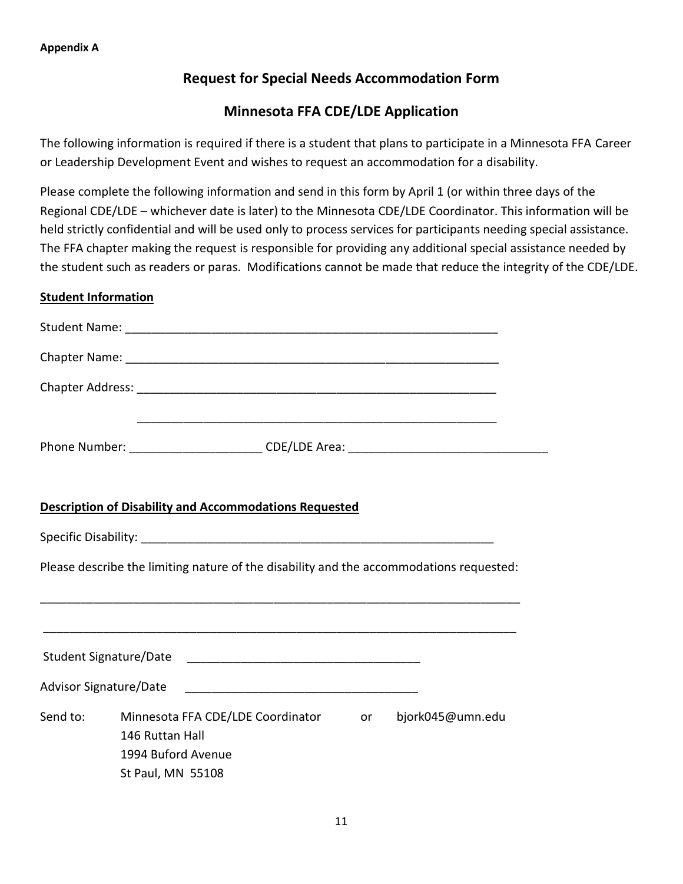## **Request for Special Needs Accommodation Form**

## **Minnesota FFA CDE/LDE Application**

The following information is required if there is a student that plans to participate in a Minnesota FFA Career or Leadership Development Event and wishes to request an accommodation for a disability.

Please complete the following information and send in this form by April 1 (or within three days of the Regional CDE/LDE – whichever date is later) to the Minnesota CDE/LDE Coordinator. This information will be held strictly confidential and will be used only to process services for participants needing special assistance. The FFA chapter making the request is responsible for providing any additional special assistance needed by the student such as readers or paras. Modifications cannot be made that reduce the integrity of the CDE/LDE.

### **Student Information**

|          | <b>Description of Disability and Accommodations Requested</b>                                      |                  |
|----------|----------------------------------------------------------------------------------------------------|------------------|
|          |                                                                                                    |                  |
|          | Please describe the limiting nature of the disability and the accommodations requested:            |                  |
|          |                                                                                                    |                  |
|          | Advisor Signature/Date                                                                             |                  |
| Send to: | Minnesota FFA CDE/LDE Coordinator or<br>146 Ruttan Hall<br>1994 Buford Avenue<br>St Paul, MN 55108 | bjork045@umn.edu |